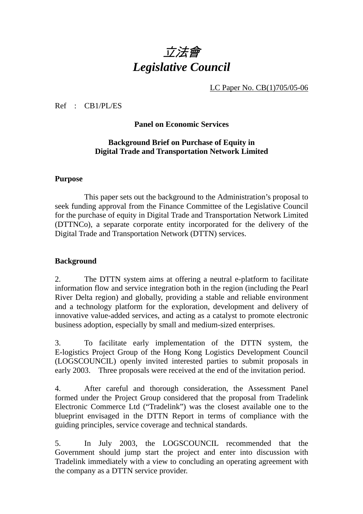## 立法會 *Legislative Council*

LC Paper No. CB(1)705/05-06

Ref : CB1/PL/ES

#### **Panel on Economic Services**

#### **Background Brief on Purchase of Equity in Digital Trade and Transportation Network Limited**

#### **Purpose**

1. This paper sets out the background to the Administration's proposal to seek funding approval from the Finance Committee of the Legislative Council for the purchase of equity in Digital Trade and Transportation Network Limited (DTTNCo), a separate corporate entity incorporated for the delivery of the Digital Trade and Transportation Network (DTTN) services.

#### **Background**

2. The DTTN system aims at offering a neutral e-platform to facilitate information flow and service integration both in the region (including the Pearl River Delta region) and globally, providing a stable and reliable environment and a technology platform for the exploration, development and delivery of innovative value-added services, and acting as a catalyst to promote electronic business adoption, especially by small and medium-sized enterprises.

3.To facilitate early implementation of the DTTN system, the E-logistics Project Group of the Hong Kong Logistics Development Council (LOGSCOUNCIL) openly invited interested parties to submit proposals in early 2003. Three proposals were received at the end of the invitation period.

4. After careful and thorough consideration, the Assessment Panel formed under the Project Group considered that the proposal from Tradelink Electronic Commerce Ltd ("Tradelink") was the closest available one to the blueprint envisaged in the DTTN Report in terms of compliance with the guiding principles, service coverage and technical standards.

5. In July 2003, the LOGSCOUNCIL recommended that the Government should jump start the project and enter into discussion with Tradelink immediately with a view to concluding an operating agreement with the company as a DTTN service provider.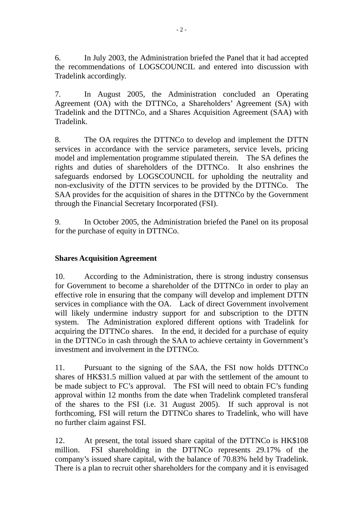6. In July 2003, the Administration briefed the Panel that it had accepted the recommendations of LOGSCOUNCIL and entered into discussion with Tradelink accordingly.

7. In August 2005, the Administration concluded an Operating Agreement (OA) with the DTTNCo, a Shareholders' Agreement (SA) with Tradelink and the DTTNCo, and a Shares Acquisition Agreement (SAA) with Tradelink.

8. The OA requires the DTTNCo to develop and implement the DTTN services in accordance with the service parameters, service levels, pricing model and implementation programme stipulated therein. The SA defines the rights and duties of shareholders of the DTTNCo. It also enshrines the safeguards endorsed by LOGSCOUNCIL for upholding the neutrality and non-exclusivity of the DTTN services to be provided by the DTTNCo. The SAA provides for the acquisition of shares in the DTTNCo by the Government through the Financial Secretary Incorporated (FSI).

9.In October 2005, the Administration briefed the Panel on its proposal for the purchase of equity in DTTNCo.

### **Shares Acquisition Agreement**

10. According to the Administration, there is strong industry consensus for Government to become a shareholder of the DTTNCo in order to play an effective role in ensuring that the company will develop and implement DTTN services in compliance with the OA. Lack of direct Government involvement will likely undermine industry support for and subscription to the DTTN system. The Administration explored different options with Tradelink for acquiring the DTTNCo shares. In the end, it decided for a purchase of equity in the DTTNCo in cash through the SAA to achieve certainty in Government's investment and involvement in the DTTNCo.

11. Pursuant to the signing of the SAA, the FSI now holds DTTNCo shares of HK\$31.5 million valued at par with the settlement of the amount to be made subject to FC's approval. The FSI will need to obtain FC's funding approval within 12 months from the date when Tradelink completed transferal of the shares to the FSI (i.e. 31 August 2005). If such approval is not forthcoming, FSI will return the DTTNCo shares to Tradelink, who will have no further claim against FSI.

12. At present, the total issued share capital of the DTTNCo is HK\$108 million. FSI shareholding in the DTTNCo represents 29.17% of the company's issued share capital, with the balance of 70.83% held by Tradelink. There is a plan to recruit other shareholders for the company and it is envisaged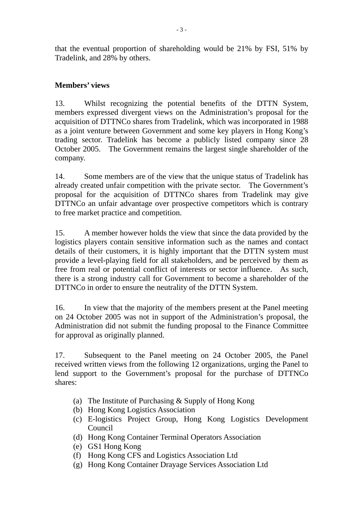that the eventual proportion of shareholding would be 21% by FSI, 51% by Tradelink, and 28% by others.

#### **Members' views**

13. Whilst recognizing the potential benefits of the DTTN System, members expressed divergent views on the Administration's proposal for the acquisition of DTTNCo shares from Tradelink, which was incorporated in 1988 as a joint venture between Government and some key players in Hong Kong's trading sector. Tradelink has become a publicly listed company since 28 October 2005. The Government remains the largest single shareholder of the company.

14. Some members are of the view that the unique status of Tradelink has already created unfair competition with the private sector. The Government's proposal for the acquisition of DTTNCo shares from Tradelink may give DTTNCo an unfair advantage over prospective competitors which is contrary to free market practice and competition.

15. A member however holds the view that since the data provided by the logistics players contain sensitive information such as the names and contact details of their customers, it is highly important that the DTTN system must provide a level-playing field for all stakeholders, and be perceived by them as free from real or potential conflict of interests or sector influence. As such, there is a strong industry call for Government to become a shareholder of the DTTNCo in order to ensure the neutrality of the DTTN System.

16. In view that the majority of the members present at the Panel meeting on 24 October 2005 was not in support of the Administration's proposal, the Administration did not submit the funding proposal to the Finance Committee for approval as originally planned.

17. Subsequent to the Panel meeting on 24 October 2005, the Panel received written views from the following 12 organizations, urging the Panel to lend support to the Government's proposal for the purchase of DTTNCo shares:

- (a) The Institute of Purchasing & Supply of Hong Kong
- (b) Hong Kong Logistics Association
- (c) E-logistics Project Group, Hong Kong Logistics Development Council
- (d) Hong Kong Container Terminal Operators Association
- (e) GS1 Hong Kong
- (f) Hong Kong CFS and Logistics Association Ltd
- (g) Hong Kong Container Drayage Services Association Ltd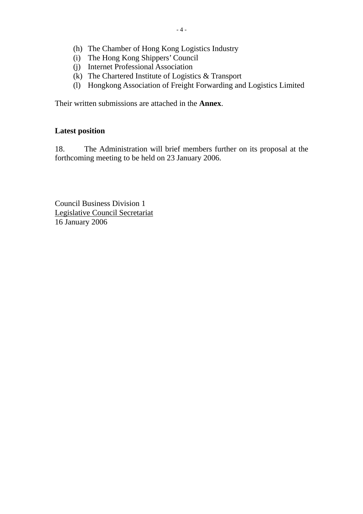- (h) The Chamber of Hong Kong Logistics Industry
- (i) The Hong Kong Shippers' Council
- (j) Internet Professional Association
- (k) The Chartered Institute of Logistics & Transport
- (l) Hongkong Association of Freight Forwarding and Logistics Limited

Their written submissions are attached in the **Annex**.

#### **Latest position**

18. The Administration will brief members further on its proposal at the forthcoming meeting to be held on 23 January 2006.

Council Business Division 1 Legislative Council Secretariat 16 January 2006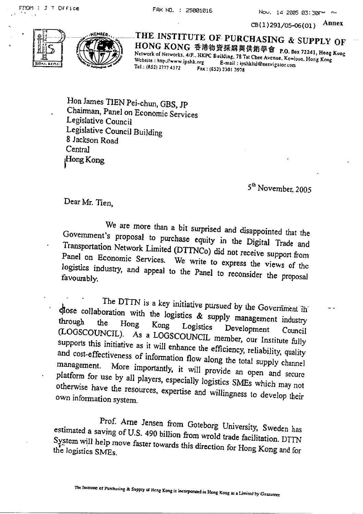FAX ND. : 25001016

CB(1)291/05-06(01) Annex

Nov. 14 2005 03:30PM





THE INSTITUTE OF PURCHASING & SUPPLY OF HONG KONG 香港物資採購與供銷學會 P.O. Box 72241, Hong Kong Network of Networks, 4/F., HKPC Building, 78 Tat Chee Avenue, Kowloon, Hong Kong Website: http://www.ipshk.org E-mail: ipshkltd@netvigator.com Tel.: (852) 2777 4372 Fax: (652) 2301 3978

Hon James TIEN Pei-chun, GBS, JP Chairman, Panel on Economic Services Legislative Council Legislative Council Building 8 Jackson Road Central Hong Kong

5<sup>th</sup> November, 2005

Dear Mr. Tien,

We are more than a bit surprised and disappointed that the Govemment's proposal to purchase equity in the Digital Trade and Transportation Network Limited (DTTNCo) did not receive support from Panel on Economic Services. We write to express the views of the logistics industry, and appeal to the Panel to reconsider the proposal favourably.

The DTTN is a key initiative pursued by the Government in close collaboration with the logistics & supply management industry the Hong Kong Logistics Development (LOGSCOUNCIL). As a LOGSCOUNCIL member, our Institute fully Council supports this initiative as it will enhance the efficiency, reliability, quality and cost-effectiveness of information flow along the total supply channel management. More importantly, it will provide an open and secure platform for use by all players, especially logistics SMEs which may not otherwise have the resources, expertise and willingness to develop their own information system.

Prof. Arne Jensen from Goteborg University, Sweden has estimated a saving of U.S. 490 billion from wrold trade facilitation. DTTN System will help move faster towards this direction for Hong Kong and for the logistics SMEs.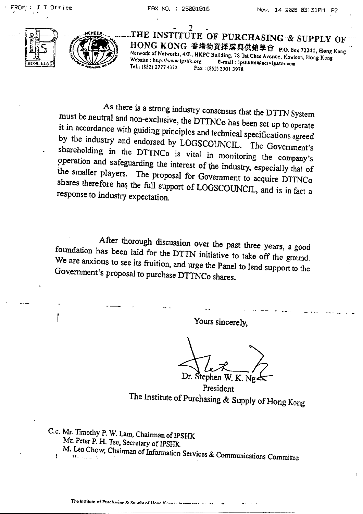Office



THE INSTIT **JTE OF-PURCHASING & SUPPLY OF** HONG KONG 香港物資採購與供銷學會 P.O. Box 72241, Hong Kong Network of Networks, 4/F., HKPC Building. 78 Tat Chee Avenue, Kowloon, Hong Kong Website: http://www.ipshk.org E-mail: ipshkltd@nctvigator.com Tel.: (852) 2777 4372 Fax: (852) 2301 3978

As there is a strong industry consensus that the DTTN System must be neutral and non-exclusive, the DTTNCo has been set up to operate it in accordance with guiding principles and technical specifications agreed by the industry and endorsed by LOGSCOUNCIL. The Government's shareholding in the DTTNCo is vital in monitoring the company's operation and safeguarding the interest of the industry, especially that of the smaller players. The proposal for Government to acquire DTTNCo shares therefore has the full support of LOGSCOUNCIL, and is in fact a response to industry expectation.

After thorough discussion over the past three years, a good foundation has been laid for the DTTN initiative to take off the ground. We are anxious to see its fruition, and urge the Panel to lend support to the Government's proposal to purchase DTTNCo shares.

Yours sincerely,

Dr. Stephen K. Ng

President The Institute of Purchasing & Supply of Hong Kong

C.c. Mr. Timothy P. W. Lam, Chairman of IPSHK Mr. Peter P. H. Tse, Secretary of IPSHK M. Leo Chow, Chairman of Information Services & Communications Committee  $\pmb{\mu}$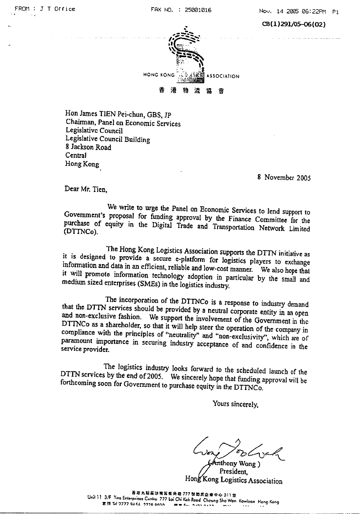$CB(1)291/05-06(02)$ 



Hon James TIEN Pei-chun, GBS, JP Chairman, Panel on Economic Services Legislative Council Legislative Council Building 8 Jackson Road Central Hong Kong

8 November 2005

Dear Mr. Tien.

We write to urge the Panel on Economic Services to lend support to Government's proposal for funding approval by the Finance Committee for the purchase of equity in the Digital Trade and Transportation Network Limited (DTTNCo).

The Hong Kong Logistics Association supports the DTTN initiative as it is designed to provide a secure e-platform for logistics players to exchange information and data in an efficient, reliable and low-cost manner. We also hope that it will promote information technology adoption in particular by the small and medium sized enterprises (SMEs) in the logistics industry.

The incorporation of the DTTNCo is a response to industry demand that the DTTN services should be provided by a neutral corporate entity in an open and non-exclusive fashion. We support the involvement of the Government in the DTTNCo as a shareholder, so that it will help steer the operation of the company in compliance with the principles of "neutrality" and "non-exclusivity", which are of paramount importance in securing industry acceptance of and confidence in the service provider.

The logistics industry looks forward to the scheduled launch of the DTTN services by the end of 2005. We sincerely hope that funding approval will be forthcoming soon for Government to purchase equity in the DTTNCo.

Yours sincerely,

mthony Wong) **President** Hong Kong Logistics Association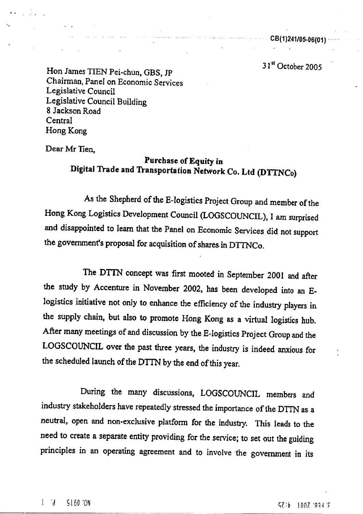$\frac{1}{2}$  =  $\frac{1}{2}$  =  $\frac{1}{2}$  =  $\frac{1}{2}$  =  $\frac{1}{2}$  =  $\frac{1}{2}$  =  $\frac{1}{2}$  =  $\frac{1}{2}$  =  $\frac{1}{2}$  =  $\frac{1}{2}$  =  $\frac{1}{2}$  =  $\frac{1}{2}$  =  $\frac{1}{2}$  =  $\frac{1}{2}$  =  $\frac{1}{2}$  =  $\frac{1}{2}$  =  $\frac{1}{2}$  =  $\frac{1}{2}$  =  $\frac{1$ 

31<sup>st</sup> October 2005

Hon James TIEN Pei-chun, GBS, JP Chairman, Panel on Economic Services Legislative Council Legislative Council Building 8 Jackson Road Central Hong Kong

الرامين المتعاطف الطفين والانتقاد

Dear Mr Tien.

Alexandria State

### Purchase of Equity in Digital Trade and Transportation Network Co. Ltd (DTTNCo)

As the Shepherd of the E-logistics Project Group and member of the Hong Kong Logistics Development Council (LOGSCOUNCIL), I am surprised and disappointed to learn that the Panel on Economic Services did not support the government's proposal for acquisition of shares in DTTNCo.

The DTTN concept was first mooted in September 2001 and after the study by Accenture in November 2002, has been developed into an Elogistics initiative not only to enhance the efficiency of the industry players in the supply chain, but also to promote Hong Kong as a virtual logistics hub. After many meetings of and discussion by the E-logistics Project Group and the LOGSCOUNCIL over the past three years, the industry is indeed anxious for the scheduled launch of the DTTN by the end of this year.

During the many discussions, LOGSCOUNCIL members and industry stakeholders have repeatedly stressed the importance of the DTTN as a neutral, open and non-exclusive platform for the industry. This leads to the need to create a separate entity providing for the service; to set out the guiding principles in an operating agreement and to involve the government in its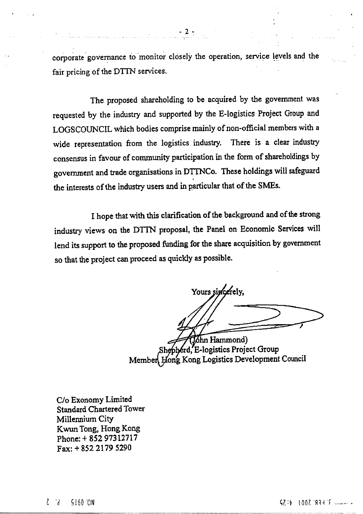corporate governance to monitor closely the operation, service levels and the fair pricing of the DTTN services.

The proposed shareholding to be acquired by the government was requested by the industry and supported by the E-logistics Project Group and LOGSCOUNCIL which bodies comprise mainly of non-official members with a wide representation from the logistics industry. There is a clear industry consensus in favour of community participation in the form of shareholdings by government and trade organisations in DTTNCo. These holdings will safeguard the interests of the industry users and in particular that of the SMEs.

I hope that with this clarification of the background and of the strong industry views on the DTTN proposal, the Panel on Economic Services will lend its support to the proposed funding for the share acquisition by government so that the project can proceed as quickly as possible.

Yours sincerely,

3hn Hammond) pherd, E-logistics Project Group Membert Hong Kong Logistics Development Council

C/o Exonomy Limited **Standard Chartered Tower** Millennium City Kwun Tong, Hong Kong Phone: +852 97312717 Fax: +852 2179 5290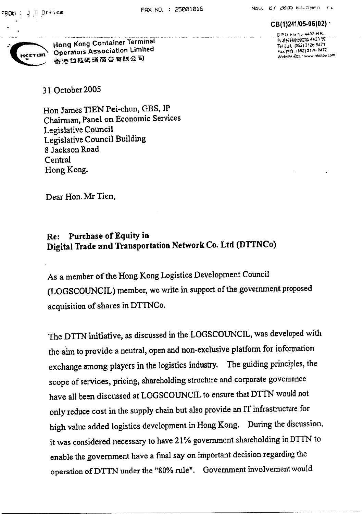#### CB(1)241/05-06(02) G.P.O. Fex No. 4433 H.K.

7. 准外视神后症能 4433 %

Tel July, (552) 3126-9471

Fax (91) (852) 3126 9472

Website Rital - www.hkctoa.com



Hong Kong Container Terminal Operators Association Limited 香港賀櫃碼頭蘭會有限公司

31 October 2005

Hon James TIEN Pei-chun, GBS, JP Chairman, Panel on Economic Services Legislative Council Legislative Council Building 8 Jackson Road Central Hong Kong.

Dear Hon. Mr Tien,

#### **Purchase of Equity in** Re: Digital Trade and Transportation Network Co. Ltd (DTTNCo)

As a member of the Hong Kong Logistics Development Council (LOGSCOUNCIL) member, we write in support of the government proposed acquisition of shares in DTTNCo.

The DTTN initiative, as discussed in the LOGSCOUNCIL, was developed with the aim to provide a neutral, open and non-exclusive platform for information exchange among players in the logistics industry. The guiding principles, the scope of services, pricing, shareholding structure and corporate governance have all been discussed at LOGSCOUNCIL to ensure that DTTN would not only reduce cost in the supply chain but also provide an IT infrastructure for high value added logistics development in Hong Kong. During the discussion, it was considered necessary to have 21% government shareholding in DTTN to enable the government have a final say on important decision regarding the operation of DTTN under the "80% rule". Government involvement would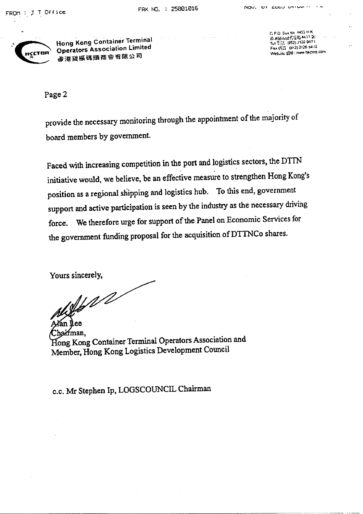

Hong Kong Container Terminal **Operators Association Limited** 香港貨甁碼頭商會有限公司

G.P.O. Doctto, 4433 H.K. 造洪桥政策局信箱4435 % (1) Tel 3:51, (852) 3126 9471 Fax (52) (852) 3126 9472 Website Sult : www.hkclos.com

Page 2

provide the necessary monitoring through the appointment of the majority of board members by government.

Faced with increasing competition in the port and logistics sectors, the DTTN initiative would, we believe, be an effective measure to strengthen Hong Kong's position as a regional shipping and logistics hub. To this end, government support and active participation is seen by the industry as the necessary driving We therefore urge for support of the Panel on Economic Services for force. the government funding proposal for the acquisition of DTTNCo shares.

Yours sincerely,

 $\sqrt{16}$ 

Chairman. Hong Kong Container Terminal Operators Association and Member, Hong Kong Logistics Development Council

c.c. Mr Stephen Ip, LOGSCOUNCIL Chairman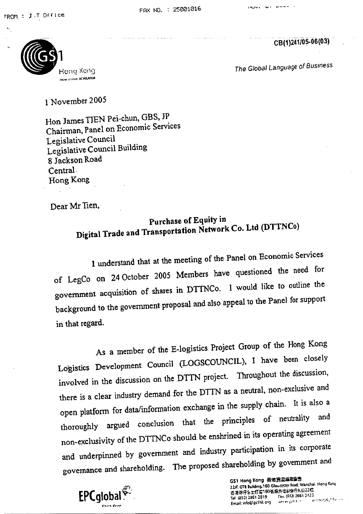CB(1)241/05-06(03)



The Global Language of Business

## 1 November 2005

Hon James TJEN Pei-chun, GBS, JP Chairman, Panel on Economic Services Legislative Council Legislative Council Building 8 Jackson Road Central. Hong Kong

Dear Mr Tien.

## Purchase of Equity in Digital Trade and Transportation Network Co. Ltd (DTTNCo)

I understand that at the meeting of the Panel on Economic Services of LegCo on 24 October 2005 Members have questioned the need for government acquisition of shares in DTTNCo. I would like to outline the background to the government proposal and also appeal to the Panel for support in that regard.

As a member of the E-logistics Project Group of the Hong Kong Logistics Development Council (LOGSCOUNCIL), I have been closely involved in the discussion on the DTTN project. Throughout the discussion, there is a clear industry demand for the DTTN as a neutral, non-exclusive and open platform for data/information exchange in the supply chain. It is also a thoroughly argued conclusion that the principles of neutrality and non-exclusivity of the DTTNCo should be enshrined in its operating agreement and underpinned by government and industry participation in its corporate governance and shareholding. The proposed shareholding by government and



GS1 Hong Kong 香港貨品編配協会 22/F, OTB Building, 160 Gloucester Rnad, Wanchai. Hong Kong 舌港忍仔告士打定160张海外信託编行大股22楼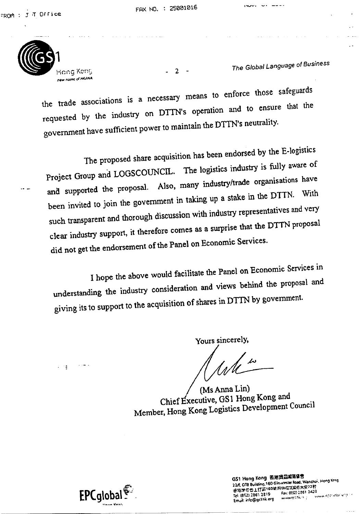Hang Keng new name of HKANA

The Global Language of Business

 $19.001 \times 101 = 100$ 

the trade associations is a necessary means to enforce those safeguards requested by the industry on DTTN's operation and to ensure that the government have sufficient power to maintain the DTTN's neutrality.

 $-2-$ 

The proposed share acquisition has been endorsed by the E-logistics Project Group and LOGSCOUNCIL. The logistics industry is fully aware of and supported the proposal. Also, many industry/trade organisations have been invited to join the government in taking up a stake in the DTTN. With such transparent and thorough discussion with industry representatives and very clear industry support, it therefore comes as a surprise that the DTTN proposal did not get the endorsement of the Panel on Economic Services.

I hope the above would facilitate the Panel on Economic Services in understanding the industry consideration and views behind the proposal and giving its to support to the acquisition of shares in DTTN by government.

Yours sincerely,

ung in <sup>Lo</sup>me

(Ms Anna Lin) Chief Executive, GS1 Hong Kong and Member, Hong Kong Logistics Development Council



GS1 Hong Kong 看港貨品編碼協會 22/F. OTB Building, 160 Gloucester Road, Wanchol, Hong Knng Fax: (852) 2861 2423 Tel: (852) 2861 2819 Email: info@gs1hk.org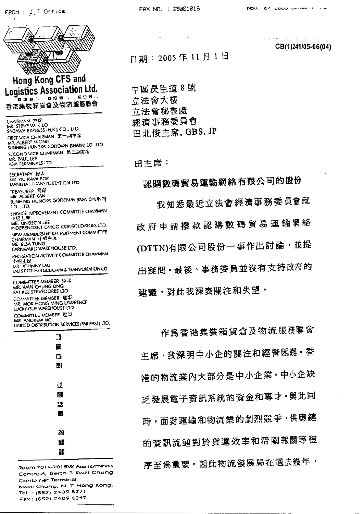



CB(1)241/05-06(04)

日期: 2005年11月1日

FAX NO. : 25001016

中區昃臣道8號 立法會大樓 立法會秘書處 經濟事務委員會 田北俊主席, GBS, JP

田主席:

認購數碼貿易運輸網絡有限公司的股份 我知悉最近立法會經濟事務委員會就 政府申請撥款認購數碼貿易運輸網絡 (DTTN)有限公司股份一事作出討論,並提 出疑問, 最後, 事務委員並沒有支持政府的 建議,對此我深表關注和失望。

作爲香港集裝箱貨倉及物流服務聯會 主席,我深明中小企的關注和經營困難。香 港的物流業內大部分是中小企業。中小企缺 乏發展電子資訊系統的資金和專才·與此同 時,面對運輸和物流業的劇烈競爭,供應鏈 的資訊流通對於貨運效率和清關報關等程 序至為重要。因此物流發展局在過去幾年,

Room 7014-701 SW, Asia Terminals Contre-A, Berth 3 Kwai Chung Container Terminal, Kwai Chung, N. T. Hong Kong. Tel: (852) 2409 5271 Fax: (652) 2409 6247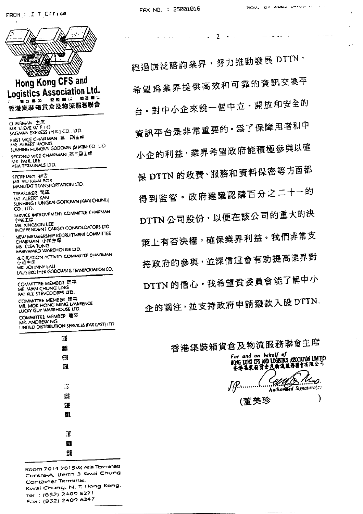$\mathcal{L}_{\mathcal{L}}$ 



- $\mathbb{R}$ æ
- Ħ 98

Room 7014 701 5W, Asia Territinals Contre-A. Berth 3 Kwai Chung Container Terminal, Kwai Chung, N. T. Hong Kong. Tel: (852) 2409 5271 Fax: (S52) 2409 6247

經過廣泛諮詢業界,努力推動發展 DTTN, 希望為業界提供高效和可靠的資訊交換平 台。對中小企來說一個中立、開放和安全的 資訊平台是非常重要的·為了保障用者和中 小企的利益,業界希望政府能積極參與以確 保 DTTN 的收费、服務和資料保密等方面都 得到監管。政府建議認購百分之二十一的 DTTN 公司股份,以便在該公司的重大的決 策上有否決權,確保業界利益。我們非常支 持政府的參與,並深信這會有助提高業界對 DTTN的信心。我希望貴委員會能了解中小 企的關注,並支持政府申請撥款入股 DTTN.

 $\overline{2}$  $\sim$   $\sim$  $\sim$ 

 $\mathbf{r}$ 

香港集裝箱貨倉及物流服務聯會主席 *For and on behalf of*<br>HOMG KOMG CFS AND LOGETICS ASSOCIATION LIMITED.<br>香港集集箱货仓及物流服務聯合有限公司 Celles Mon.  $u_{\boldsymbol{\mathcal{D}}}$ 

(董美珍

 $\lambda$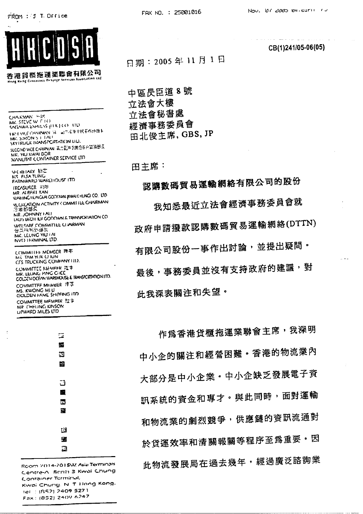FROM : J T Office



香港貨概拖運業聯會有限公司 Hong Kong Container Despage Services Association Ltd

CHARMAN HUM MK. STEVE WITHO SAGAWA EXPIRESS (FEK.) CO., HD TRSEVILE CHARMAN (A) 副产资源中搜索所协商卡 MK. SIMON ST TALL SKYTRUCK HUANSPORTATION LID. SLCOND VICE CHARMAN 第二國主名乘會員會算論部長 MR. YIU KWAI BOR MANUTAT CONTAINER SERVICE LTD SECRETARY MC **N.S. FLSA TUNG** FARNWARD WARL HOUSE ITD **IREASURER EIFE** MR ALBERT KAN MANING HONGKALGODOWN (KWALCHUNG) CO. LTD RECREATION ACTIVITY COMMITTEE CHAIRMAN 医苯胺染化 MR. JOHNNY LALL LAU'S BICOTHLIK GODOWN & TRANSPORTATION CO WELFARE COMMITTEE CLIARMAN

NVO I HAMINAL LTD COMMITTEE MEMSER 博弈 MS TAM YUR CHUN CES TRUCKING COMPANY (11) COMMITTEE MEMBER JE + MR. LEUNG PING CHICE COLDEN OCEAN WAREHOUSE & TRANSPORTATION ITD. COMMITTEE MEMBER <br> 注意 MS. KWONG MI U GOLDEN FAME SHIPFING ITD COMMITTEE MEMPER 理事 MR CHELING KINSON **UPWARD MILES LTD** 

密意探索公司员 MK. LEUNG YIU I A



CB(1)241/05-06(05)

日期: 2005年11月1日

中區昃臣道8號 立法會大樓 立法會秘書處 經濟事務委員會 田北俊主席, GBS, JP

田主席:

認購數碼貿易運輸網絡有限公司的股份

我知悉最近立法會經濟事務委員會就 政府申請撥款認購數碼貿易運輸網絡(DTTN) 有限公司股份一事作出討論,並提出疑問。 最後,事務委員並沒有支持政府的建議,對

此我深表關注和失望。

作為香港貨櫃拖運業聯會主席,我深明 中小企的關注和經營困難。香港的物流業內 大部分是中小企業。中小企缺乏發展電子資 訊系統的資金和專才。與此同時,面對運輸 和物流業的劇烈競爭,供應鏈的資訊流通對 於貨運效率和清關報關等程序至爲重要。因 此物流發展局在過去幾年,經過廣泛諮詢業

Room 7014-701 SW, Asia Terminals Centre-A. Borth 3 Kwai Chung **Container Terminal,** Kwai Chung, N. T. Hong Kong. tel : (S52) 2409 5271 Fax: (952) 2409 6247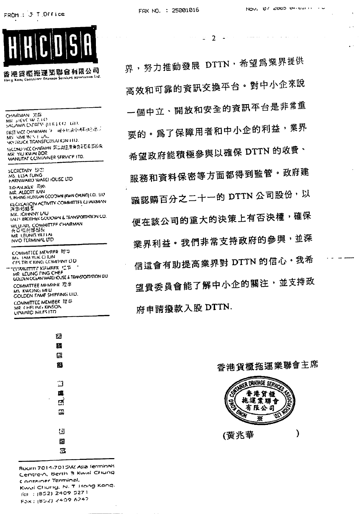

a provinci



香港貨櫃拖運業聯會有限公司 Horse Kong Container Dravage Services Assemantin Ltd.

CHAIRMAN BIN<br>MR SHEVE W RTO SAGAWA EXPRESS (ITIK ) CO., LED. **CIRST VICE CHAIRMAN (9)** WELF PLACED 44-14 SECTION **NMON SEL LAG** M. **SKY (RUCK TRANSPORTATION TTD)** SECOND VICE CHARAXIN 第二副主席兼有商石县西部长 MR YIU KWAI BOR MANLITAT CONTAINER SERVICE ITD. **SCCRETARY 1373** MS. LLSA TUNG **FARNWARD WARCHOUSE LTD** TREASURER FURN MR. ALBERT KAN S. INHING HUNGAN COODWN (KWAI CHUNG) CO., LIU **KLCKLATION ACTIVITY COMMITTEE CLIAIKMAN**<br>高能够配置 MR. JOHNNY LAU IZUTE BROTHEK GODOWN & TRANSPORTATION CO. WELL ARE COMMITTEE CHAIRMAN **WLU AND COMMENT** NVO TERMINAL LTD

COMMITTEE MEMBER THIS MY TAM YUK CITUN CES TRUCKING COMPANY LID **TOMMITTE NEMBER ET E** GOLDEN COLLAN WAREHOUSE & TRANSPORTATION LIL COMMITTEE MEMBER 理事 MS KWONG MILI **COLDEN FAME SHIPFING LID.** COMMITTEE MEMBER 理中 MR CHELING KINSON LIPWARD MILES ITD



Room 7014-7015W, Asia ferminals Centre-A, Berth 3 Kwai Chung Container Terminal, Kwai Chung, N. T. Hong Kong. fel: (852) 2409 5271 Fax: (852) 2409 6247

界, 努力推動發展 DTTN, 希望為業界提供 高效和可靠的資訊交換平台。對中小企來說 一個中立、開放和安全的資訊平台是非常重 要的。為了保障用者和中小企的利益,業界 希望政府能積極參與以確保 DTTN 的收費、 服務和資料保密等方面都得到監管。政府建 議認購百分之二十一的 DTTN 公司股份,以 便在該公司的重大的決策上有否決權,確保 業界利益·我們非常支持政府的參與,並深 信這會有助提高業界對 DTTN 的信心。我希 望貴委員會能了解中小企的關注,並支持政 府申請撥款入股 DTTN.

 $2 - 2 = 4$ 

I WHER DRAYAGE SERVICE LO. 香港貨櫃 拖運業聯會 有限公司

ቛ

Q,

⟩

香港貨櫃拖運業聯會主席

(黃兆華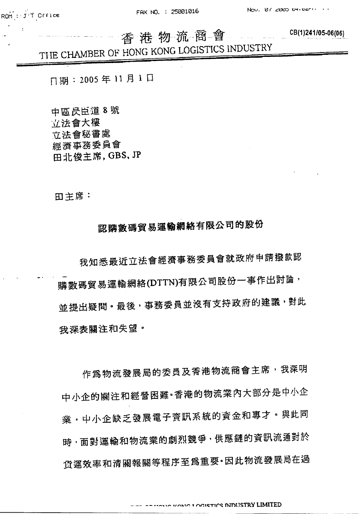CB(1)241/05-06(06)

# 香港物流商會 THE CHAMBER OF HONG KONG LOGISTICS INDUSTRY

门期: 2005年11月1日

中區昃臣道 8號 立法會大樓 立法會秘書處 經濟事務委員會 田北俊主席, GBS, JP

田主席:

## 認購數碼貿易運輸網絡有限公司的股份

我知悉最近立法會經濟事務委員會就政府申請撥款認 購數碼貿易運輸網絡(DTTN)有限公司股份一事作出討論, 並提出疑問。最後,事務委員並沒有支持政府的建議,對此 我深表關注和失望。

作為物流發展局的委員及香港物流商會主席,我深明 中小企的關注和經營困難。香港的物流業內大部分是中小企 業·中小企缺乏發展電子資訊系統的資金和專才·與此同 時,面對運輸和物流業的劇烈競爭,供應鏈的資訊流通對於 货運效率和清關報關等程序至爲重要·因此物流發展局在過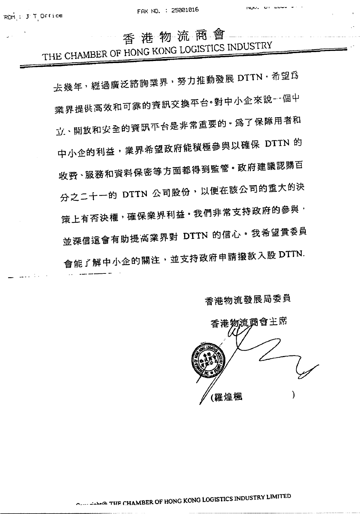香港物流商會

THE CHAMBER OF HONG KONG LOGISTICS INDUSTRY

去幾年, 經過廣泛諮詢業界, 努力推動發展 DTTN, 希望為 業界提供高效和可靠的資訊交換平台·對中小企來說--個中 立、開放和安全的資訊平台是非常重要的。為了保障用者和 中小企的利益,業界希望政府能積極参與以確保 DTTN 的 收费、服務和資料保密等方面都得到監管。政府建議認購百 分之二十一的 DTTN 公司股份,以便在該公司的重大的決 策上有否決權,確保業界利益·我們非常支持政府的參與, 並深信這會有助提高業界對 DTTN 的信心。我希望貴委員 會能了解中小企的關注,並支持政府申請撥款入股 DTTN.

香港物流發展局委員

香港物流商會主席 (羅煌楓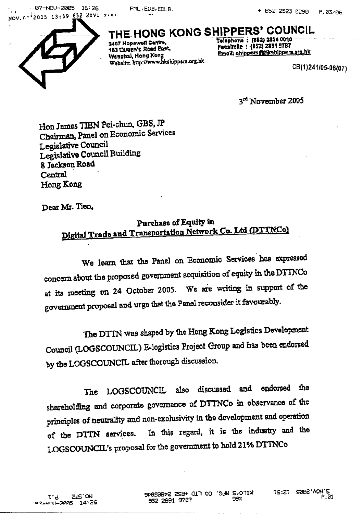: 07-NOV-2005 16:26 .<br>. . NOV. 07 2005 13:59 852 2891 9707 PML, EDB, EDLB.



THE HONG KONG SHIPPERS' COUNCIL 2407 Hopewell Centre, 183 Queen's Road Past. Wanchai, Hong Kong

Website: http://www.hkshippers.org.hk

Tolephone : (882) 2834 0010 Facsimile : (852) 2891 9787 Email: shippersmiticshippers.org.hk

CB(1)241/05-06(07)

3rd November 2005

Hon James TIBN Pei-chun, GBS, JP Chairman, Panel on Economic Services Legislative Council Legislative Council Building 8 Jackson Road Central Hong Kong

Dear Mr. Tien,

### Purchase of Equity in Digital Trade and Transportation Network Co. Ltd (DTTNCo)

We learn that the Panel on Economic Services has expressed concern about the proposed government acquisition of equity in the DTTNCo at its meeting on 24 October 2005. We are writing in support of the government proposal and urge that the Panel reconsider it favourably.

The DTTN was shaped by the Hong Kong Logistics Development Council (LOGSCOUNCIL) E-logistics Project Group and has been endorsed by the LOGSCOUNCIL after thorough discussion.

The LOGSCOUNCIL also discussed and endorsed the shareholding and corporate governance of DTTNCo in observance of the principles of neutrality and non-exclusivity in the development and operation In this regard, it is the industry and the of the DTTN services. LOGSCOUNCIL's proposal for the government to hold 21% DTTNCo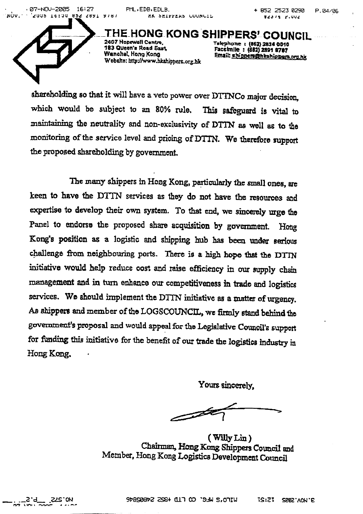· 07-NOU-2005 16:27 NOV. 1953 SCU DOIBI COOS' 1 'NOV' PML, EDB, EDLB. MK SMIPPERS COUNCIL

HE HONG KONG SHIPPERS' COUNCIL 2407 Honewell Centre. 183 Queen's Road Sart, Wanshal, Kong Kong Webshe: http://www.hkshippers.org.hk

Telephone : (862) 2834 0010<br>Facelmile : (882) 2891 8787 Email: shippers@hkshippara.org.hk

shareholding so that it will have a veto power over DTTNCo major decision. which would be subject to an 80% rule. This safeguard is vital to maintaining the neutrality and non-exclusivity of DTTN as well as to the monitoring of the service level and pricing of DTTN. We therefore support the proposed shareholding by government.

The many shippers in Hong Kong, particularly the small ones, are keen to have the DTTN services as they do not have the resources and expertise to develop their own system. To that end, we sincerely urge the Panel to endorse the proposed share acquisition by government. Hong Kong's position as a logistic and shipping hub has been under serious challenge from neighbouring ports. There is a high hope that the DTTN initiative would help reduce cost and raise efficiency in our supply chain management and in turn enhance our competitiveness in trade and logistics services. We should implement the DTTN initiative as a matter of urgency. As shippers and member of the LOGSCOUNCIL, we firmly stand behind the government's proposal and would appeal for the Legislative Council's support for funding this initiative for the benefit of our trade the logistics industry in Hong Kong.

Yours sincerely.

 $\mathscr{B}$ 

(Willy Lin) Chairman, Hong Kong Shippers Council and Member, Hong Kong Logistics Development Council

.ZLS-ON 5.9°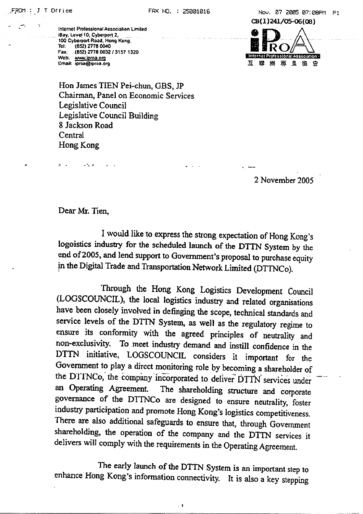Internet Professional Association Limited iBay, Level 10, Cyberport 2, 100 Cyberport Road, Hong Kong. Tel: (852) 2778 0040 Fax: (852) 2778 0032 / 3157 1320 Web: www.iproa.org Email: iproa@iproa.org

CB(1)241/05-06(08) **Internet Professional Association -**互 蠎 網 専 業 協

Hon James TIEN Pei-chun, GBS, JP Chairman, Panel on Economic Services Legislative Council Legislative Council Building 8 Jackson Road Central Hong Kong

2 November 2005

Dear Mr. Tien.

I would like to express the strong expectation of Hong Kong's logoistics industry for the scheduled launch of the DTTN System by the end of 2005, and lend support to Government's proposal to purchase equity in the Digital Trade and Transportation Network Limited (DTTNCo).

Through the Hong Kong Logistics Development Council (LOGSCOUNCIL), the local logistics industry and related organisations have been closely involved in definging the scope, technical standards and service levels of the DTTN System, as well as the regulatory regime to ensure its conformity with the agreed principles of neutrality and non-exclusivity. To meet industry demand and instill confidence in the DTTN initiative, LOGSCOUNCIL considers it important for the Government to play a direct monitoring role by becoming a shareholder of the DTINCo, the company incorporated to deliver DTTN services under an Operating Agreement. The shareholding structure and corporate governance of the DTTNCo are designed to ensure neutrality, foster industry participation and promote Hong Kong's logistics competitiveness. There are also additional safeguards to ensure that, through Government shareholding, the operation of the company and the DTTN services it delivers will comply with the requirements in the Operating Agreement.

The early launch of the DTTN System is an important step to enhance Hong Kong's information connectivity. It is also a key stepping

 $\overline{a}$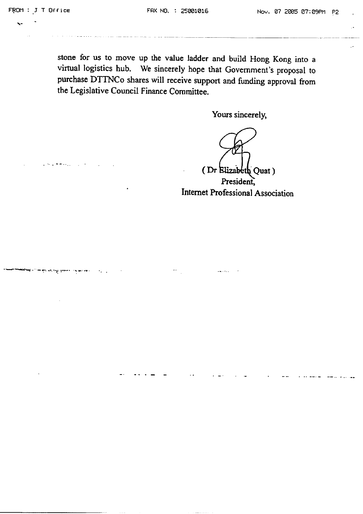stone for us to move up the value ladder and build Hong Kong into a virtual logistics hub. We sincerely hope that Government's proposal to purchase DTTNCo shares will receive support and funding approval from the Legislative Council Finance Committee.

Yours sincerely,

(Dr Elizabeth Quat) President, Internet Professional Association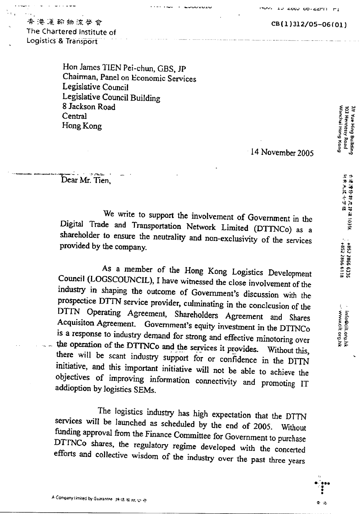CB(1)312/05-06(01)

### 查港運輸物流學會 The Chartered Institute of Logistics & Transport

Hon James TIEN Pei-chun, GBS, JP Chainnan, Panel on Economic Services Legislative Council Legislative Council Building 8 Jackson Road Central Hong Kong

14 November 2005

Dear Mr. Tien,

A Company Limited by Guarantee 34 th 45 HK to 49

We write to support the involvement of Government in the Digital Trade and Transportation Network Limited (DTTNCo) as a shareholder to ensure the neutrality and non-exclusivity of the services provided by the company.

As a member of the Hong Kong Logistics Development Council (LOGSCOUNCIL), I have witnessed the close involvement of the industry in shaping the outcome of Government's discussion with the prospectice DTTN service provider, culminating in the conclcusion of the DTTN Operating Agreement, Shareholders Agreement and Shares Acquisiton Agreement. Government's equity investment in the DTTNCo is a response to industry demand for strong and effective minotoring over the operation of the DTTNCo and the services it provides. Without this, there will be scant industry support for or confidence in the DTTN initiative, and this important initiative will not be able to achieve the objectives of improving information connectivity and promoting IT addioption by logistics SEMs.

The logistics industry has high expectation that the DTTN services will be launched as scheduled by the end of 2005. Without funding approval from the Finance Committee for Government to purchase DTTNCo shares, the regulatory regime developed with the concerted efforts and collective wisdom of the industry over the past three years

Wanchai Hong Kong 7/F Yue Hing Building<br>103 Hennessy Road

www.cit.org.hk...<br>سر مسمرداد ۱۵۰۵ من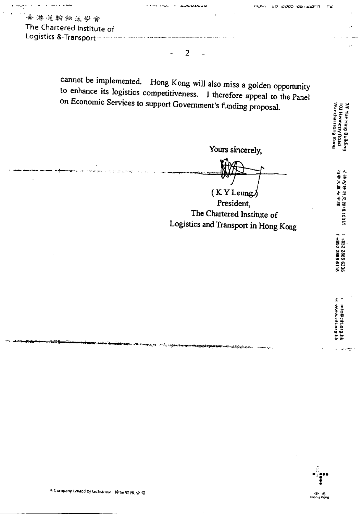带港運輸物流學會 The Chartered Institute of Logistics & Transport

نان دارا ول

cannot be implemented. Hong Kong will also miss a golden opportunity to enhance its logistics competitiveness. I therefore appeal to the Panel on Economic Services to support Government's funding proposal.

 $\overline{2}$ 

**JEDES CRAIN** 

Yours sincerely,

 $(KYLeung)$ President, The Chartered Institute of Logistics and Transport in Hong Kong 7/f Yue Hing Building<br>103 Hennessy Road<br>Wanchai Hong Kong

小胞的牛奶 建立工程 化聚合物

i +852 2866 6336<br>1 +852 2866 6118

v info@cilt.org.hk<br>w www.cift.org.hk

 $\omega$  . ÷

A Company Limited by Guarantee 操採有限公司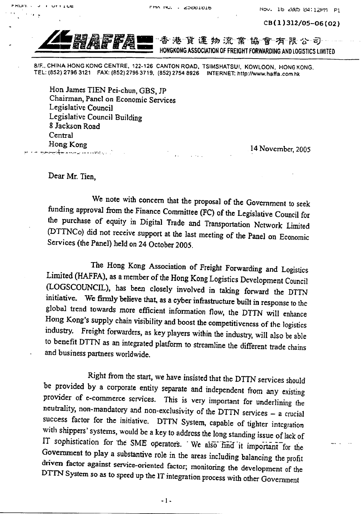CB(1)312/05-06(02)



e est and liv

 $\mathbf{r}$ 

 $\overline{1}$  of  $\overline{1}$  and  $\overline{1}$ 

貨運物流業協會有限公司 香港 HONGKONG ASSOCIATION OF FREIGHT FORWARDING AND LOGISTICS LIMITED

8/F., CHINA HONG KONG CENTRE, 122-126 CANTON ROAD, TSIMSHATSUI, KOWLOON, HONG KONG. TEL: (852) 2796 3121 FAX: (852) 2796 3719, (852) 2754 8926 INTERNET: http://www.haffa.com.hk

Hon James TIEN Pei-chun, GBS, JP Chairman, Panel on Economic Services Legislative Council Legislative Council Building 8 Jackson Road Central Hong Kong أرادي وتعتبت سأدنى مبسر ويتهلك ومن

14 November, 2005

Dear Mr. Tien.

We note with concern that the proposal of the Government to seek funding approval from the Finance Committee (FC) of the Legislative Council for the purchase of equity in Digital Trade and Transportation Network Limited (DTTNCo) did not receive support at the last meeting of the Panel on Economic Services (the Panel) held on 24 October 2005.

The Hong Kong Association of Freight Forwarding and Logistics Limited (HAFFA), as a member of the Hong Kong Logistics Development Council (LOGSCOUNCIL), has been closely involved in taking forward the DTTN initiative. We firmly believe that, as a cyber infrastructure built in response to the global trend towards more efficient information flow, the DTTN will enhance Hong Kong's supply chain visibility and boost the competitiveness of the logistics industry. Freight forwarders, as key players within the industry, will also be able to benefit DTTN as an integrated platform to streamline the different trade chains and business partners worldwide.

Right from the start, we have insisted that the DTTN services should be provided by a corporate entity separate and independent from any existing provider of e-commerce services. This is very important for underlining the neutrality, non-mandatory and non-exclusivity of the DTTN services - a crucial success factor for the initiative. DTTN System, capable of tighter integration with shippers' systems, would be a key to address the long standing issue of lack of IT sophistication for the SME operators. We also find it important for the Government to play a substantive role in the areas including balancing the profit driven factor against service-oriented factor; monitoring the development of the DTTN System so as to speed up the IT integration process with other Government